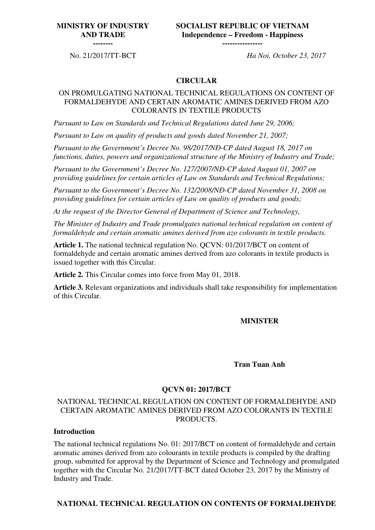## **MINISTRY OF INDUSTRY AND TRADE**

**SOCIALIST REPUBLIC OF VIETNAM Independence – Freedom - Happiness ----------------**

**--------** 

No. 21/2017/TT-BCT *Ha Noi, October 23, 2017*

#### **CIRCULAR**

### ON PROMULGATING NATIONAL TECHNICAL REGULATIONS ON CONTENT OF FORMALDEHYDE AND CERTAIN AROMATIC AMINES DERIVED FROM AZO COLORANTS IN TEXTILE PRODUCTS

*Pursuant to Law on Standards and Technical Regulations dated June 29, 2006;* 

*Pursuant to Law on quality of products and goods dated November 21, 2007;* 

*Pursuant to the Government's Decree No. 98/2017/N*Đ*-CP dated August 18, 2017 on functions, duties, powers and organizational structure of the Ministry of Industry and Trade;* 

*Pursuant to the Government's Decree No. 127/2007/N*Đ*-CP dated August 01, 2007 on providing guidelines for certain articles of Law on Standards and Technical Regulations;* 

*Pursuant to the Government's Decree No. 132/2008/N*Đ*-CP dated November 31, 2008 on providing guidelines for certain articles of Law on quality of products and goods;* 

*At the request of the Director General of Department of Science and Technology,* 

*The Minister of Industry and Trade promulgates national technical regulation on content of formaldehyde and certain aromatic amines derived from azo colorants in textile products.* 

**Article 1.** The national technical regulation No. QCVN: 01/2017/BCT on content of formaldehyde and certain aromatic amines derived from azo colorants in textile products is issued together with this Circular.

**Article 2.** This Circular comes into force from May 01, 2018.

**Article 3.** Relevant organizations and individuals shall take responsibility for implementation of this Circular.

#### **MINISTER**

#### **Tran Tuan Anh**

### **QCVN 01: 2017/BCT**

### NATIONAL TECHNICAL REGULATION ON CONTENT OF FORMALDEHYDE AND CERTAIN AROMATIC AMINES DERIVED FROM AZO COLORANTS IN TEXTILE PRODUCTS.

#### **Introduction**

The national technical regulations No. 01: 2017/BCT on content of formaldehyde and certain aromatic amines derived from azo colourants in textile products is compiled by the drafting group, submitted for approval by the Department of Science and Technology and promulgated together with the Circular No. 21/2017/TT-BCT dated October 23, 2017 by the Ministry of Industry and Trade.

#### **NATIONAL TECHNICAL REGULATION ON CONTENTS OF FORMALDEHYDE**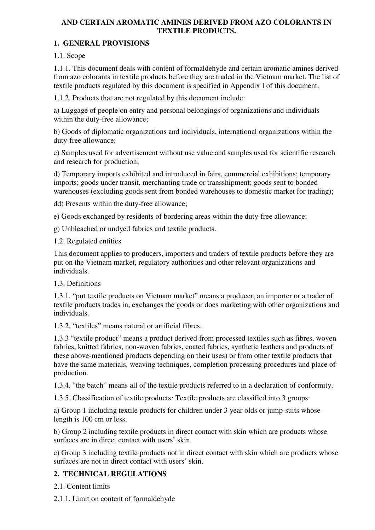## **AND CERTAIN AROMATIC AMINES DERIVED FROM AZO COLORANTS IN TEXTILE PRODUCTS.**

## **1. GENERAL PROVISIONS**

1.1. Scope

1.1.1. This document deals with content of formaldehyde and certain aromatic amines derived from azo colorants in textile products before they are traded in the Vietnam market. The list of textile products regulated by this document is specified in Appendix I of this document.

1.1.2. Products that are not regulated by this document include:

a) Luggage of people on entry and personal belongings of organizations and individuals within the duty-free allowance;

b) Goods of diplomatic organizations and individuals, international organizations within the duty-free allowance;

c) Samples used for advertisement without use value and samples used for scientific research and research for production;

d) Temporary imports exhibited and introduced in fairs, commercial exhibitions; temporary imports; goods under transit, merchanting trade or transshipment; goods sent to bonded warehouses (excluding goods sent from bonded warehouses to domestic market for trading);

dd) Presents within the duty-free allowance;

e) Goods exchanged by residents of bordering areas within the duty-free allowance;

g) Unbleached or undyed fabrics and textile products.

1.2. Regulated entities

This document applies to producers, importers and traders of textile products before they are put on the Vietnam market, regulatory authorities and other relevant organizations and individuals.

## 1.3. Definitions

1.3.1. "put textile products on Vietnam market" means a producer, an importer or a trader of textile products trades in, exchanges the goods or does marketing with other organizations and individuals.

1.3.2. "textiles" means natural or artificial fibres.

1.3.3 "textile product" means a product derived from processed textiles such as fibres, woven fabrics, knitted fabrics, non-woven fabrics, coated fabrics, synthetic leathers and products of these above-mentioned products depending on their uses) or from other textile products that have the same materials, weaving techniques, completion processing procedures and place of production.

1.3.4. "the batch" means all of the textile products referred to in a declaration of conformity.

1.3.5. Classification of textile products*:* Textile products are classified into 3 groups:

a) Group 1 including textile products for children under 3 year olds or jump-suits whose length is 100 cm or less.

b) Group 2 including textile products in direct contact with skin which are products whose surfaces are in direct contact with users' skin.

c) Group 3 including textile products not in direct contact with skin which are products whose surfaces are not in direct contact with users' skin.

## **2. TECHNICAL REGULATIONS**

2.1. Content limits

2.1.1. Limit on content of formaldehyde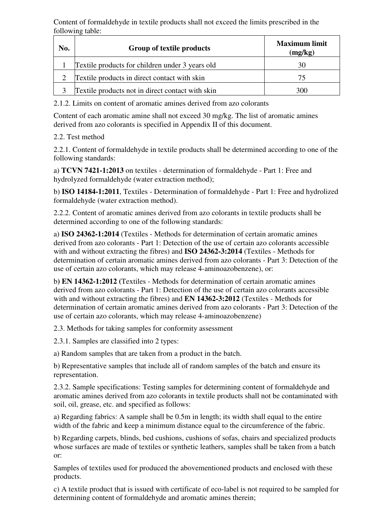Content of formaldehyde in textile products shall not exceed the limits prescribed in the following table:

| No. | Group of textile products                        | <b>Maximum limit</b><br>(mg/kg) |  |  |
|-----|--------------------------------------------------|---------------------------------|--|--|
|     | Textile products for children under 3 years old  | 30                              |  |  |
|     | Textile products in direct contact with skin     | 75                              |  |  |
|     | Textile products not in direct contact with skin | 300                             |  |  |

2.1.2. Limits on content of aromatic amines derived from azo colorants

Content of each aromatic amine shall not exceed 30 mg/kg. The list of aromatic amines derived from azo colorants is specified in Appendix II of this document.

## 2.2. Test method

2.2.1. Content of formaldehyde in textile products shall be determined according to one of the following standards:

a) **TCVN 7421-1:2013** on textiles - determination of formaldehyde - Part 1: Free and hydrolyzed formaldehyde (water extraction method);

b) **ISO 14184-1:2011**, Textiles - Determination of formaldehyde - Part 1: Free and hydrolized formaldehyde (water extraction method).

2.2.2. Content of aromatic amines derived from azo colorants in textile products shall be determined according to one of the following standards:

a) **ISO 24362-1:2014** (Textiles - Methods for determination of certain aromatic amines derived from azo colorants - Part 1: Detection of the use of certain azo colorants accessible with and without extracting the fibres) and **ISO 24362-3:2014** (Textiles - Methods for determination of certain aromatic amines derived from azo colorants - Part 3: Detection of the use of certain azo colorants, which may release 4-aminoazobenzene), or:

b**) EN 14362-1:2012 (**Textiles - Methods for determination of certain aromatic amines derived from azo colorants - Part 1: Detection of the use of certain azo colorants accessible with and without extracting the fibres) and **EN 14362-3:2012** (Textiles - Methods for determination of certain aromatic amines derived from azo colorants - Part 3: Detection of the use of certain azo colorants, which may release 4-aminoazobenzene)

2.3. Methods for taking samples for conformity assessment

2.3.1. Samples are classified into 2 types:

a) Random samples that are taken from a product in the batch.

b) Representative samples that include all of random samples of the batch and ensure its representation.

2.3.2. Sample specifications: Testing samples for determining content of formaldehyde and aromatic amines derived from azo colorants in textile products shall not be contaminated with soil, oil, grease, etc. and specified as follows:

a) Regarding fabrics: A sample shall be 0.5m in length; its width shall equal to the entire width of the fabric and keep a minimum distance equal to the circumference of the fabric.

b) Regarding carpets, blinds, bed cushions, cushions of sofas, chairs and specialized products whose surfaces are made of textiles or synthetic leathers, samples shall be taken from a batch or:

Samples of textiles used for produced the abovementioned products and enclosed with these products.

c) A textile product that is issued with certificate of eco-label is not required to be sampled for determining content of formaldehyde and aromatic amines therein;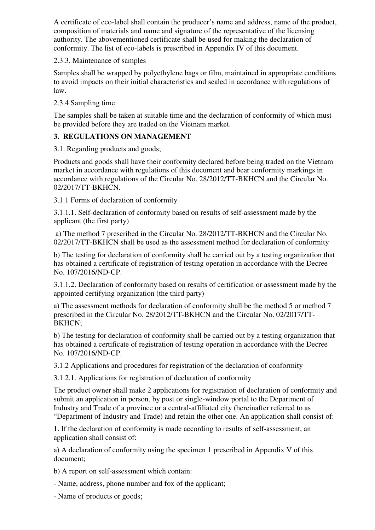A certificate of eco-label shall contain the producer's name and address, name of the product, composition of materials and name and signature of the representative of the licensing authority. The abovementioned certificate shall be used for making the declaration of conformity. The list of eco-labels is prescribed in Appendix IV of this document.

2.3.3. Maintenance of samples

Samples shall be wrapped by polyethylene bags or film, maintained in appropriate conditions to avoid impacts on their initial characteristics and sealed in accordance with regulations of law.

2.3.4 Sampling time

The samples shall be taken at suitable time and the declaration of conformity of which must be provided before they are traded on the Vietnam market.

## **3. REGULATIONS ON MANAGEMENT**

3.1. Regarding products and goods;

Products and goods shall have their conformity declared before being traded on the Vietnam market in accordance with regulations of this document and bear conformity markings in accordance with regulations of the Circular No. 28/2012/TT-BKHCN and the Circular No. 02/2017/TT-BKHCN.

3.1.1 Forms of declaration of conformity

3.1.1.1. Self-declaration of conformity based on results of self-assessment made by the applicant (the first party)

 a) The method 7 prescribed in the Circular No. 28/2012/TT-BKHCN and the Circular No. 02/2017/TT-BKHCN shall be used as the assessment method for declaration of conformity

b) The testing for declaration of conformity shall be carried out by a testing organization that has obtained a certificate of registration of testing operation in accordance with the Decree No. 107/2016/NĐ-CP.

3.1.1.2. Declaration of conformity based on results of certification or assessment made by the appointed certifying organization (the third party)

a) The assessment methods for declaration of conformity shall be the method 5 or method 7 prescribed in the Circular No. 28/2012/TT-BKHCN and the Circular No. 02/2017/TT-BKHCN;

b) The testing for declaration of conformity shall be carried out by a testing organization that has obtained a certificate of registration of testing operation in accordance with the Decree No. 107/2016/ND-CP.

3.1.2 Applications and procedures for registration of the declaration of conformity

3.1.2.1. Applications for registration of declaration of conformity

The product owner shall make 2 applications for registration of declaration of conformity and submit an application in person, by post or single-window portal to the Department of Industry and Trade of a province or a central-affiliated city (hereinafter referred to as "Department of Industry and Trade) and retain the other one. An application shall consist of:

1. If the declaration of conformity is made according to results of self-assessment, an application shall consist of:

a) A declaration of conformity using the specimen 1 prescribed in Appendix V of this document;

b) A report on self-assessment which contain:

- Name, address, phone number and fox of the applicant;

- Name of products or goods;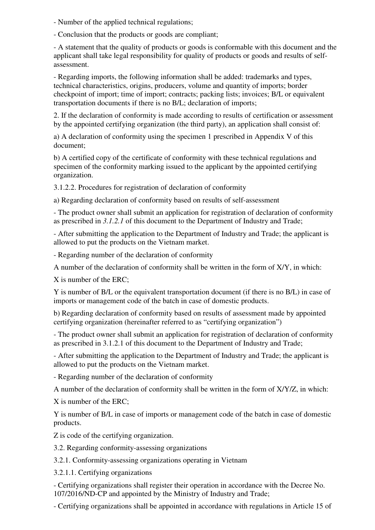- Number of the applied technical regulations;

- Conclusion that the products or goods are compliant;

- A statement that the quality of products or goods is conformable with this document and the applicant shall take legal responsibility for quality of products or goods and results of selfassessment.

- Regarding imports, the following information shall be added: trademarks and types, technical characteristics, origins, producers, volume and quantity of imports; border checkpoint of import; time of import; contracts; packing lists; invoices; B/L or equivalent transportation documents if there is no B/L; declaration of imports;

2. If the declaration of conformity is made according to results of certification or assessment by the appointed certifying organization (the third party), an application shall consist of:

a) A declaration of conformity using the specimen 1 prescribed in Appendix V of this document;

b) A certified copy of the certificate of conformity with these technical regulations and specimen of the conformity marking issued to the applicant by the appointed certifying organization.

3.1.2.2. Procedures for registration of declaration of conformity

a) Regarding declaration of conformity based on results of self-assessment

- The product owner shall submit an application for registration of declaration of conformity as prescribed in *3.1.2.1* of this document to the Department of Industry and Trade;

- After submitting the application to the Department of Industry and Trade; the applicant is allowed to put the products on the Vietnam market.

- Regarding number of the declaration of conformity

A number of the declaration of conformity shall be written in the form of X/Y, in which:

X is number of the ERC;

Y is number of B/L or the equivalent transportation document (if there is no B/L) in case of imports or management code of the batch in case of domestic products.

b) Regarding declaration of conformity based on results of assessment made by appointed certifying organization (hereinafter referred to as "certifying organization")

- The product owner shall submit an application for registration of declaration of conformity as prescribed in 3.1.2.1 of this document to the Department of Industry and Trade;

- After submitting the application to the Department of Industry and Trade; the applicant is allowed to put the products on the Vietnam market.

- Regarding number of the declaration of conformity

A number of the declaration of conformity shall be written in the form of X/Y/Z, in which:

X is number of the ERC;

Y is number of B/L in case of imports or management code of the batch in case of domestic products.

Z is code of the certifying organization.

3.2. Regarding conformity-assessing organizations

3.2.1. Conformity-assessing organizations operating in Vietnam

3.2.1.1. Certifying organizations

- Certifying organizations shall register their operation in accordance with the Decree No. 107/2016/ND-CP and appointed by the Ministry of Industry and Trade;

- Certifying organizations shall be appointed in accordance with regulations in Article 15 of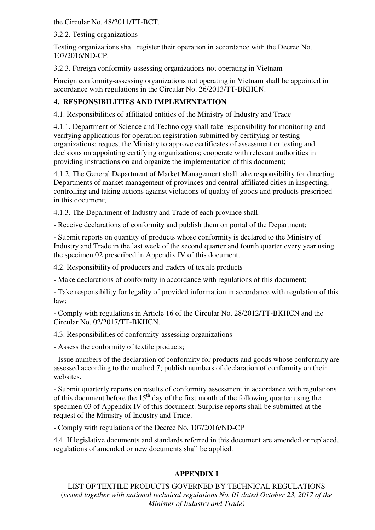the Circular No. 48/2011/TT-BCT.

3.2.2. Testing organizations

Testing organizations shall register their operation in accordance with the Decree No. 107/2016/ND-CP.

3.2.3. Foreign conformity-assessing organizations not operating in Vietnam

Foreign conformity-assessing organizations not operating in Vietnam shall be appointed in accordance with regulations in the Circular No. 26/2013/TT-BKHCN.

# **4. RESPONSIBILITIES AND IMPLEMENTATION**

4.1. Responsibilities of affiliated entities of the Ministry of Industry and Trade

4.1.1. Department of Science and Technology shall take responsibility for monitoring and verifying applications for operation registration submitted by certifying or testing organizations; request the Ministry to approve certificates of assessment or testing and decisions on appointing certifying organizations; cooperate with relevant authorities in providing instructions on and organize the implementation of this document;

4.1.2. The General Department of Market Management shall take responsibility for directing Departments of market management of provinces and central-affiliated cities in inspecting, controlling and taking actions against violations of quality of goods and products prescribed in this document;

4.1.3. The Department of Industry and Trade of each province shall:

- Receive declarations of conformity and publish them on portal of the Department;

- Submit reports on quantity of products whose conformity is declared to the Ministry of Industry and Trade in the last week of the second quarter and fourth quarter every year using the specimen 02 prescribed in Appendix IV of this document.

4.2. Responsibility of producers and traders of textile products

- Make declarations of conformity in accordance with regulations of this document;

- Take responsibility for legality of provided information in accordance with regulation of this law;

- Comply with regulations in Article 16 of the Circular No. 28/2012/TT-BKHCN and the Circular No. 02/2017/TT-BKHCN.

4.3. Responsibilities of conformity-assessing organizations

- Assess the conformity of textile products;

- Issue numbers of the declaration of conformity for products and goods whose conformity are assessed according to the method 7; publish numbers of declaration of conformity on their websites.

- Submit quarterly reports on results of conformity assessment in accordance with regulations of this document before the  $15<sup>th</sup>$  day of the first month of the following quarter using the specimen 03 of Appendix IV of this document. Surprise reports shall be submitted at the request of the Ministry of Industry and Trade.

- Comply with regulations of the Decree No. 107/2016/ND-CP

4.4. If legislative documents and standards referred in this document are amended or replaced, regulations of amended or new documents shall be applied.

# **APPENDIX I**

LIST OF TEXTILE PRODUCTS GOVERNED BY TECHNICAL REGULATIONS (*issued together with national technical regulations No. 01 dated October 23, 2017 of the Minister of Industry and Trade)*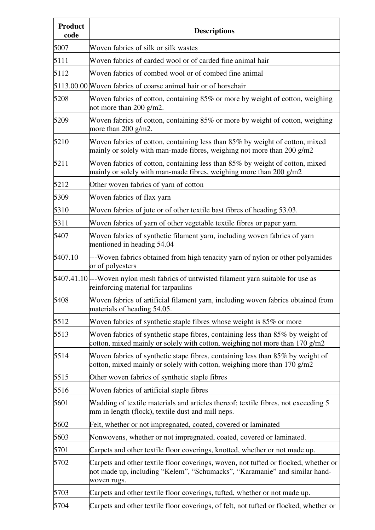| <b>Product</b><br>code | <b>Descriptions</b>                                                                                                                                                              |  |  |  |  |  |
|------------------------|----------------------------------------------------------------------------------------------------------------------------------------------------------------------------------|--|--|--|--|--|
| 5007                   | Woven fabrics of silk or silk wastes                                                                                                                                             |  |  |  |  |  |
| 5111                   | Woven fabrics of carded wool or of carded fine animal hair                                                                                                                       |  |  |  |  |  |
| 5112                   | Woven fabrics of combed wool or of combed fine animal                                                                                                                            |  |  |  |  |  |
|                        | 5113.00.00 Woven fabrics of coarse animal hair or of horsehair                                                                                                                   |  |  |  |  |  |
| 5208                   | Woven fabrics of cotton, containing 85% or more by weight of cotton, weighing<br>not more than 200 g/m2.                                                                         |  |  |  |  |  |
| 5209                   | Woven fabrics of cotton, containing 85% or more by weight of cotton, weighing<br>more than 200 g/m2.                                                                             |  |  |  |  |  |
| 5210                   | Woven fabrics of cotton, containing less than 85% by weight of cotton, mixed<br>mainly or solely with man-made fibres, weighing not more than 200 $g/m2$                         |  |  |  |  |  |
| 5211                   | Woven fabrics of cotton, containing less than 85% by weight of cotton, mixed<br>mainly or solely with man-made fibres, weighing more than 200 $g/m2$                             |  |  |  |  |  |
| 5212                   | Other woven fabrics of yarn of cotton                                                                                                                                            |  |  |  |  |  |
| 5309                   | Woven fabrics of flax yarn                                                                                                                                                       |  |  |  |  |  |
| 5310                   | Woven fabrics of jute or of other textile bast fibres of heading 53.03.                                                                                                          |  |  |  |  |  |
| 5311                   | Woven fabrics of yarn of other vegetable textile fibres or paper yarn.                                                                                                           |  |  |  |  |  |
| 5407                   | Woven fabrics of synthetic filament yarn, including woven fabrics of yarn<br>mentioned in heading 54.04                                                                          |  |  |  |  |  |
| 5407.10                | --Woven fabrics obtained from high tenacity yarn of nylon or other polyamides<br>or of polyesters                                                                                |  |  |  |  |  |
|                        | 5407.41.10 --Woven nylon mesh fabrics of untwisted filament yarn suitable for use as<br>reinforcing material for tarpaulins                                                      |  |  |  |  |  |
| 5408                   | Woven fabrics of artificial filament yarn, including woven fabrics obtained from<br>materials of heading 54.05.                                                                  |  |  |  |  |  |
| 5512                   | Woven fabrics of synthetic staple fibres whose weight is 85% or more                                                                                                             |  |  |  |  |  |
| 5513                   | Woven fabrics of synthetic stape fibres, containing less than 85% by weight of<br>cotton, mixed mainly or solely with cotton, weighing not more than $170$ g/m2                  |  |  |  |  |  |
| 5514                   | Woven fabrics of synthetic stape fibres, containing less than 85% by weight of<br>cotton, mixed mainly or solely with cotton, weighing more than $170$ g/m2                      |  |  |  |  |  |
| 5515                   | Other woven fabrics of synthetic staple fibres                                                                                                                                   |  |  |  |  |  |
| 5516                   | Woven fabrics of artificial staple fibres                                                                                                                                        |  |  |  |  |  |
| 5601                   | Wadding of textile materials and articles thereof; textile fibres, not exceeding 5<br>mm in length (flock), textile dust and mill neps.                                          |  |  |  |  |  |
| 5602                   | Felt, whether or not impregnated, coated, covered or laminated                                                                                                                   |  |  |  |  |  |
| 5603                   | Nonwovens, whether or not impregnated, coated, covered or laminated.                                                                                                             |  |  |  |  |  |
| 5701                   | Carpets and other textile floor coverings, knotted, whether or not made up.                                                                                                      |  |  |  |  |  |
| 5702                   | Carpets and other textile floor coverings, woven, not tufted or flocked, whether or<br>not made up, including "Kelem", "Schumacks", "Karamanie" and similar hand-<br>woven rugs. |  |  |  |  |  |
| 5703                   | Carpets and other textile floor coverings, tufted, whether or not made up.                                                                                                       |  |  |  |  |  |
| 5704                   | Carpets and other textile floor coverings, of felt, not tufted or flocked, whether or                                                                                            |  |  |  |  |  |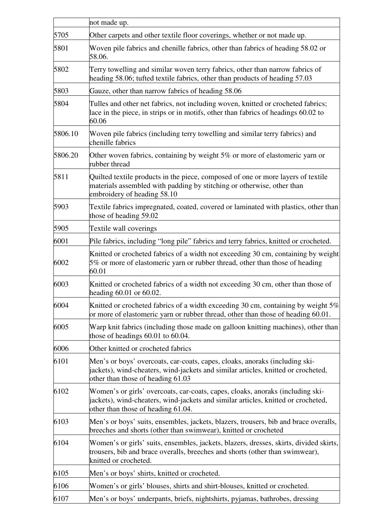|         | not made up.                                                                                                                                                                                              |  |  |  |  |  |  |
|---------|-----------------------------------------------------------------------------------------------------------------------------------------------------------------------------------------------------------|--|--|--|--|--|--|
| 5705    | Other carpets and other textile floor coverings, whether or not made up.                                                                                                                                  |  |  |  |  |  |  |
| 5801    | Woven pile fabrics and chenille fabrics, other than fabrics of heading 58.02 or<br>58.06.                                                                                                                 |  |  |  |  |  |  |
| 5802    | Terry towelling and similar woven terry fabrics, other than narrow fabrics of<br>heading 58.06; tufted textile fabrics, other than products of heading 57.03                                              |  |  |  |  |  |  |
| 5803    | Gauze, other than narrow fabrics of heading 58.06                                                                                                                                                         |  |  |  |  |  |  |
| 5804    | Tulles and other net fabrics, not including woven, knitted or crocheted fabrics;<br>lace in the piece, in strips or in motifs, other than fabrics of headings 60.02 to<br>60.06                           |  |  |  |  |  |  |
| 5806.10 | Woven pile fabrics (including terry towelling and similar terry fabrics) and<br>chenille fabrics                                                                                                          |  |  |  |  |  |  |
| 5806.20 | Other woven fabrics, containing by weight $5\%$ or more of elastomeric yarn or<br>rubber thread                                                                                                           |  |  |  |  |  |  |
| 5811    | Quilted textile products in the piece, composed of one or more layers of textile<br>materials assembled with padding by stitching or otherwise, other than<br>embroidery of heading 58.10                 |  |  |  |  |  |  |
| 5903    | Textile fabrics impregnated, coated, covered or laminated with plastics, other than<br>those of heading 59.02                                                                                             |  |  |  |  |  |  |
| 5905    | Textile wall coverings                                                                                                                                                                                    |  |  |  |  |  |  |
| 6001    | Pile fabrics, including "long pile" fabrics and terry fabrics, knitted or crocheted.                                                                                                                      |  |  |  |  |  |  |
| 6002    | Knitted or crocheted fabrics of a width not exceeding 30 cm, containing by weight<br>5% or more of elastomeric yarn or rubber thread, other than those of heading<br>60.01                                |  |  |  |  |  |  |
| 6003    | Knitted or crocheted fabrics of a width not exceeding 30 cm, other than those of<br>heading 60.01 or 60.02.                                                                                               |  |  |  |  |  |  |
| 6004    | Knitted or crocheted fabrics of a width exceeding 30 cm, containing by weight 5%<br>or more of elastomeric yarn or rubber thread, other than those of heading 60.01.                                      |  |  |  |  |  |  |
| 6005    | Warp knit fabrics (including those made on galloon knitting machines), other than<br>those of headings $60.01$ to $60.04$ .                                                                               |  |  |  |  |  |  |
| 6006    | Other knitted or crocheted fabrics                                                                                                                                                                        |  |  |  |  |  |  |
| 6101    | Men's or boys' overcoats, car-coats, capes, cloaks, anoraks (including ski-<br>jackets), wind-cheaters, wind-jackets and similar articles, knitted or crocheted,<br>other than those of heading 61.03     |  |  |  |  |  |  |
| 6102    | Women's or girls' overcoats, car-coats, capes, cloaks, anoraks (including ski-<br>jackets), wind-cheaters, wind-jackets and similar articles, knitted or crocheted,<br>other than those of heading 61.04. |  |  |  |  |  |  |
| 6103    | Men's or boys' suits, ensembles, jackets, blazers, trousers, bib and brace overalls,<br>breeches and shorts (other than swimwear), knitted or crocheted                                                   |  |  |  |  |  |  |
| 6104    | Women's or girls' suits, ensembles, jackets, blazers, dresses, skirts, divided skirts,<br>trousers, bib and brace overalls, breeches and shorts (other than swimwear),<br>knitted or crocheted.           |  |  |  |  |  |  |
| 6105    | Men's or boys' shirts, knitted or crocheted.                                                                                                                                                              |  |  |  |  |  |  |
| 6106    | Women's or girls' blouses, shirts and shirt-blouses, knitted or crocheted.                                                                                                                                |  |  |  |  |  |  |
| 6107    | Men's or boys' underpants, briefs, nightshirts, pyjamas, bathrobes, dressing                                                                                                                              |  |  |  |  |  |  |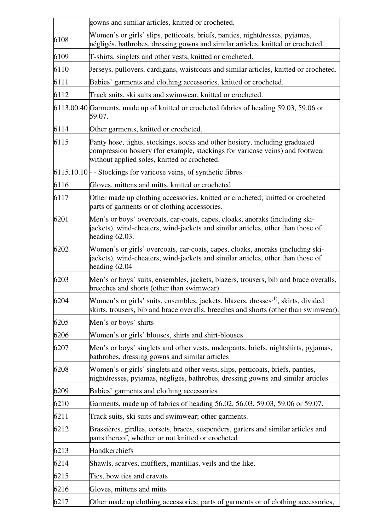|      | gowns and similar articles, knitted or crocheted.                                                                                                                                                           |  |  |  |  |  |
|------|-------------------------------------------------------------------------------------------------------------------------------------------------------------------------------------------------------------|--|--|--|--|--|
| 6108 | Women's or girls' slips, petticoats, briefs, panties, nightdresses, pyjamas,<br>négligés, bathrobes, dressing gowns and similar articles, knitted or crocheted.                                             |  |  |  |  |  |
| 6109 | T-shirts, singlets and other vests, knitted or crocheted.                                                                                                                                                   |  |  |  |  |  |
| 6110 | Jerseys, pullovers, cardigans, waistcoats and similar articles, knitted or crocheted.                                                                                                                       |  |  |  |  |  |
| 6111 | Babies' garments and clothing accessories, knitted or crocheted.                                                                                                                                            |  |  |  |  |  |
| 6112 | Track suits, ski suits and swimwear, knitted or crocheted.                                                                                                                                                  |  |  |  |  |  |
|      | 6113.00.40 Garments, made up of knitted or crocheted fabrics of heading 59.03, 59.06 or<br>59.07.                                                                                                           |  |  |  |  |  |
| 6114 | Other garments, knitted or crocheted.                                                                                                                                                                       |  |  |  |  |  |
| 6115 | Panty hose, tights, stockings, socks and other hosiery, including graduated<br>compression hosiery (for example, stockings for varicose veins) and footwear<br>without applied soles, knitted or crocheted. |  |  |  |  |  |
|      | $6115.10.10$ - Stockings for varicose veins, of synthetic fibres                                                                                                                                            |  |  |  |  |  |
| 6116 | Gloves, mittens and mitts, knitted or crocheted                                                                                                                                                             |  |  |  |  |  |
| 6117 | Other made up clothing accessories, knitted or crocheted; knitted or crocheted<br>parts of garments or of clothing accessories.                                                                             |  |  |  |  |  |
| 6201 | Men's or boys' overcoats, car-coats, capes, cloaks, anoraks (including ski-<br>jackets), wind-cheaters, wind-jackets and similar articles, other than those of<br>heading $62.03$ .                         |  |  |  |  |  |
| 6202 | Women's or girls' overcoats, car-coats, capes, cloaks, anoraks (including ski-<br>jackets), wind-cheaters, wind-jackets and similar articles, other than those of<br>heading 62.04                          |  |  |  |  |  |
| 6203 | Men's or boys' suits, ensembles, jackets, blazers, trousers, bib and brace overalls,<br>breeches and shorts (other than swimwear).                                                                          |  |  |  |  |  |
| 6204 | Women's or girls' suits, ensembles, jackets, blazers, dresses <sup>(1)</sup> , skirts, divided<br>skirts, trousers, bib and brace overalls, breeches and shorts (other than swimwear)                       |  |  |  |  |  |
| 6205 | Men's or boys' shirts                                                                                                                                                                                       |  |  |  |  |  |
| 6206 | Women's or girls' blouses, shirts and shirt-blouses                                                                                                                                                         |  |  |  |  |  |
| 6207 | Men's or boys' singlets and other vests, underpants, briefs, nightshirts, pyjamas,<br>bathrobes, dressing gowns and similar articles                                                                        |  |  |  |  |  |
| 6208 | Women's or girls' singlets and other vests, slips, petticoats, briefs, panties,<br>nightdresses, pyjamas, négligés, bathrobes, dressing gowns and similar articles                                          |  |  |  |  |  |
| 6209 | Babies' garments and clothing accessories                                                                                                                                                                   |  |  |  |  |  |
| 6210 | Garments, made up of fabrics of heading 56.02, 56.03, 59.03, 59.06 or 59.07.                                                                                                                                |  |  |  |  |  |
| 6211 | Track suits, ski suits and swimwear; other garments.                                                                                                                                                        |  |  |  |  |  |
| 6212 | Brassières, girdles, corsets, braces, suspenders, garters and similar articles and<br>parts thereof, whether or not knitted or crocheted                                                                    |  |  |  |  |  |
| 6213 | Handkerchiefs                                                                                                                                                                                               |  |  |  |  |  |
| 6214 | Shawls, scarves, mufflers, mantillas, veils and the like.                                                                                                                                                   |  |  |  |  |  |
| 6215 | Ties, bow ties and cravats                                                                                                                                                                                  |  |  |  |  |  |
| 6216 | Gloves, mittens and mitts                                                                                                                                                                                   |  |  |  |  |  |
| 6217 | Other made up clothing accessories; parts of garments or of clothing accessories,                                                                                                                           |  |  |  |  |  |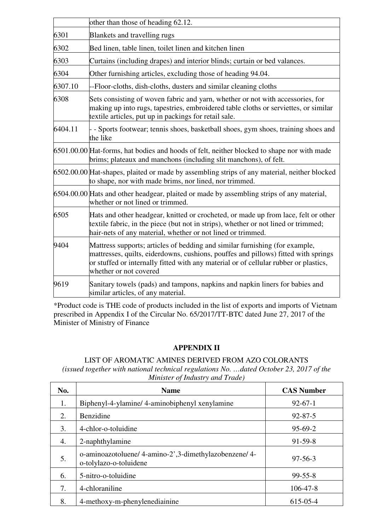|         | other than those of heading 62.12.                                                                                                                                                                                                                                                  |  |  |  |  |
|---------|-------------------------------------------------------------------------------------------------------------------------------------------------------------------------------------------------------------------------------------------------------------------------------------|--|--|--|--|
| 6301    | Blankets and travelling rugs                                                                                                                                                                                                                                                        |  |  |  |  |
| 6302    | Bed linen, table linen, toilet linen and kitchen linen                                                                                                                                                                                                                              |  |  |  |  |
| 6303    | Curtains (including drapes) and interior blinds; curtain or bed valances.                                                                                                                                                                                                           |  |  |  |  |
| 6304    | Other furnishing articles, excluding those of heading 94.04.                                                                                                                                                                                                                        |  |  |  |  |
| 6307.10 | -Floor-cloths, dish-cloths, dusters and similar cleaning cloths                                                                                                                                                                                                                     |  |  |  |  |
| 6308    | Sets consisting of woven fabric and yarn, whether or not with accessories, for<br>making up into rugs, tapestries, embroidered table cloths or serviettes, or similar<br>textile articles, put up in packings for retail sale.                                                      |  |  |  |  |
| 6404.11 | - Sports footwear; tennis shoes, basketball shoes, gym shoes, training shoes and<br>the like                                                                                                                                                                                        |  |  |  |  |
|         | 6501.00.00 Hat-forms, hat bodies and hoods of felt, neither blocked to shape nor with made<br>brims; plateaux and manchons (including slit manchons), of felt.                                                                                                                      |  |  |  |  |
|         | 6502.00.00 Hat-shapes, plaited or made by assembling strips of any material, neither blocked<br>to shape, nor with made brims, nor lined, nor trimmed.                                                                                                                              |  |  |  |  |
|         | 6504.00.00 Hats and other headgear, plaited or made by assembling strips of any material,<br>whether or not lined or trimmed.                                                                                                                                                       |  |  |  |  |
| 6505    | Hats and other headgear, knitted or crocheted, or made up from lace, felt or other<br>textile fabric, in the piece (but not in strips), whether or not lined or trimmed;<br>hair-nets of any material, whether or not lined or trimmed.                                             |  |  |  |  |
| 9404    | Mattress supports; articles of bedding and similar furnishing (for example,<br>mattresses, quilts, eiderdowns, cushions, pouffes and pillows) fitted with springs<br>or stuffed or internally fitted with any material or of cellular rubber or plastics,<br>whether or not covered |  |  |  |  |
| 9619    | Sanitary towels (pads) and tampons, napkins and napkin liners for babies and<br>similar articles, of any material.                                                                                                                                                                  |  |  |  |  |

\*Product code is THE code of products included in the list of exports and imports of Vietnam prescribed in Appendix I of the Circular No. 65/2017/TT-BTC dated June 27, 2017 of the Minister of Ministry of Finance

## **APPENDIX II**

### LIST OF AROMATIC AMINES DERIVED FROM AZO COLORANTS *(issued together with national technical regulations No. …dated October 23, 2017 of the Minister of Industry and Trade)*

| No. | <b>Name</b>                                                                    | <b>CAS Number</b> |  |
|-----|--------------------------------------------------------------------------------|-------------------|--|
| 1.  | Biphenyl-4-ylamine/4-aminobiphenyl xenylamine                                  | $92 - 67 - 1$     |  |
| 2.  | Benzidine                                                                      | $92 - 87 - 5$     |  |
| 3.  | 4-chlor-o-toluidine                                                            | $95-69-2$         |  |
| 4.  | 2-naphthylamine                                                                | $91-59-8$         |  |
| 5.  | o-aminoazotoluene/4-amino-2',3-dimethylazobenzene/4-<br>o-tolylazo-o-toluidene | $97 - 56 - 3$     |  |
| 6.  | 5-nitro-o-toluidine                                                            | $99 - 55 - 8$     |  |
| 7.  | 4-chloraniline                                                                 | $106 - 47 - 8$    |  |
| 8.  | 4-methoxy-m-phenylenediainine                                                  | 615-05-4          |  |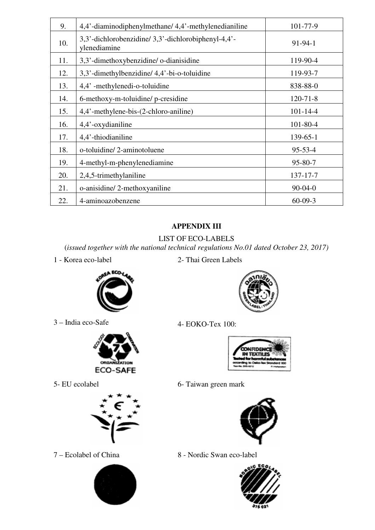| 9.  | 4,4'-diaminodiphenylmethane/ 4,4'-methylenedianiline               | 101-77-9       |  |  |
|-----|--------------------------------------------------------------------|----------------|--|--|
| 10. | 3,3'-dichlorobenzidine/3,3'-dichlorobiphenyl-4,4'-<br>ylenediamine | $91 - 94 - 1$  |  |  |
| 11. | 3,3'-dimethoxybenzidine/o-dianisidine                              | 119-90-4       |  |  |
| 12. | 3,3'-dimethylbenzidine/4,4'-bi-o-toluidine                         | 119-93-7       |  |  |
| 13. | 4,4'-methylenedi-o-toluidine                                       | 838-88-0       |  |  |
| 14. | 6-methoxy-m-toluidine/p-cresidine                                  | $120 - 71 - 8$ |  |  |
| 15. | 4,4'-methylene-bis-(2-chloro-aniline)                              | $101 - 14 - 4$ |  |  |
| 16. | 4,4'-oxydianiline                                                  | $101 - 80 - 4$ |  |  |
| 17. | 4,4'-thiodianiline                                                 | $139 - 65 - 1$ |  |  |
| 18. | o-toluidine/2-aminotoluene                                         | $95 - 53 - 4$  |  |  |
| 19. | 4-methyl-m-phenylenediamine                                        | 95-80-7        |  |  |
| 20. | 2,4,5-trimethylaniline                                             | 137-17-7       |  |  |
| 21. | o-anisidine/2-methoxyaniline                                       | $90 - 04 - 0$  |  |  |
| 22. | 4-aminoazobenzene                                                  | $60 - 09 - 3$  |  |  |

# **APPENDIX III**

# LIST OF ECO-LABELS

(*issued together with the national technical regulations No.01 dated October 23, 2017)*

1 - Korea eco-label 2- Thai Green Labels



3 – India eco-Safe 4- EOKO-Tex 100:









5- EU ecolabel 6- Taiwan green mark



7 – Ecolabel of China 8 - Nordic Swan eco-label



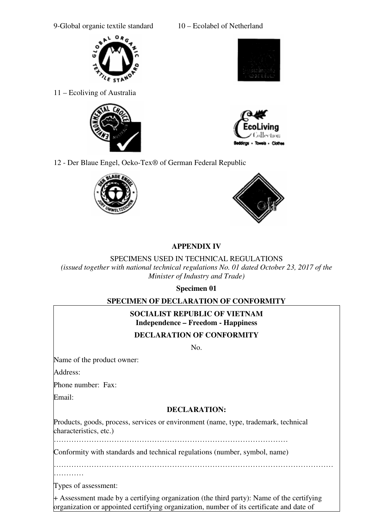9-Global organic textile standard 10 – Ecolabel of Netherland



11 – Ecoliving of Australia







12 - Der Blaue Engel, Oeko-Tex® of German Federal Republic





# **APPENDIX IV**

## SPECIMENS USED IN TECHNICAL REGULATIONS

*(issued together with national technical regulations No. 01 dated October 23, 2017 of the Minister of Industry and Trade)*

**Specimen 01** 

# **SPECIMEN OF DECLARATION OF CONFORMITY**

# **SOCIALIST REPUBLIC OF VIETNAM Independence – Freedom - Happiness**

# **DECLARATION OF CONFORMITY**

 $N<sub>0</sub>$ 

Name of the product owner:

Address:

Phone number: Fax:

Email:

# **DECLARATION:**

Products, goods, process, services or environment (name, type, trademark, technical characteristics, etc.)

…………………………………………………………………………………

Conformity with standards and technical regulations (number, symbol, name)

…………………………………………………………………………………………………

…………

Types of assessment:

+ Assessment made by a certifying organization (the third party): Name of the certifying organization or appointed certifying organization, number of its certificate and date of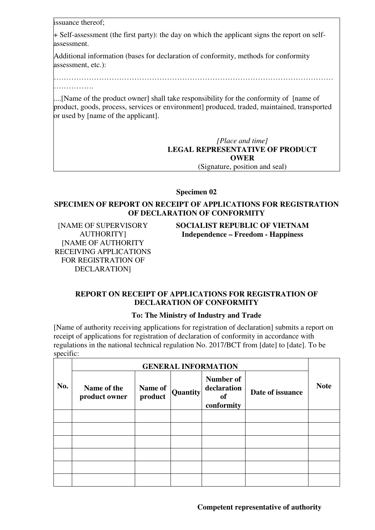issuance thereof;

…………….

+ Self-assessment (the first party): the day on which the applicant signs the report on selfassessment.

Additional information (bases for declaration of conformity, methods for conformity assessment, etc.):

…………………………………………………………………………………………………

....[Name of the product owner] shall take responsibility for the conformity of [name of product, goods, process, services or environment] produced, traded, maintained, transported or used by [name of the applicant].

> *[Place and time]*  **LEGAL REPRESENTATIVE OF PRODUCT OWER**  (Signature, position and seal)

**Specimen 02** 

### **SPECIMEN OF REPORT ON RECEIPT OF APPLICATIONS FOR REGISTRATION OF DECLARATION OF CONFORMITY**

[NAME OF SUPERVISORY AUTHORITY] [NAME OF AUTHORITY RECEIVING APPLICATIONS FOR REGISTRATION OF DECLARATION]

**SOCIALIST REPUBLIC OF VIETNAM Independence – Freedom - Happiness**

## **REPORT ON RECEIPT OF APPLICATIONS FOR REGISTRATION OF DECLARATION OF CONFORMITY**

## **To: The Ministry of Industry and Trade**

[Name of authority receiving applications for registration of declaration] submits a report on receipt of applications for registration of declaration of conformity in accordance with regulations in the national technical regulation No. 2017/BCT from [date] to [date]. To be specific:

|     | <b>GENERAL INFORMATION</b>   |                    |          |                                              |                  |             |  |
|-----|------------------------------|--------------------|----------|----------------------------------------------|------------------|-------------|--|
| No. | Name of the<br>product owner | Name of<br>product | Quantity | Number of<br>declaration<br>of<br>conformity | Date of issuance | <b>Note</b> |  |
|     |                              |                    |          |                                              |                  |             |  |
|     |                              |                    |          |                                              |                  |             |  |
|     |                              |                    |          |                                              |                  |             |  |
|     |                              |                    |          |                                              |                  |             |  |
|     |                              |                    |          |                                              |                  |             |  |
|     |                              |                    |          |                                              |                  |             |  |

**Competent representative of authority**